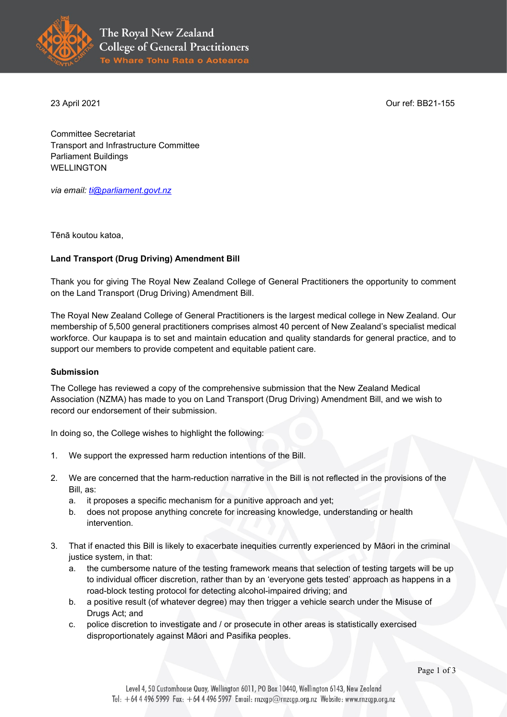

23 April 2021 Our ref: BB21-155

Committee Secretariat Transport and Infrastructure Committee Parliament Buildings WELLINGTON

*via email: [ti@parliament.govt.nz](mailto:ti@parliament.govt.nz)*

Tēnā koutou katoa,

### **Land Transport (Drug Driving) Amendment Bill**

Thank you for giving The Royal New Zealand College of General Practitioners the opportunity to comment on the Land Transport (Drug Driving) Amendment Bill.

The Royal New Zealand College of General Practitioners is the largest medical college in New Zealand. Our membership of 5,500 general practitioners comprises almost 40 percent of New Zealand's specialist medical workforce. Our kaupapa is to set and maintain education and quality standards for general practice, and to support our members to provide competent and equitable patient care.

### **Submission**

The College has reviewed a copy of the comprehensive submission that the New Zealand Medical Association (NZMA) has made to you on Land Transport (Drug Driving) Amendment Bill, and we wish to record our endorsement of their submission.

In doing so, the College wishes to highlight the following:

- 1. We support the expressed harm reduction intentions of the Bill.
- 2. We are concerned that the harm-reduction narrative in the Bill is not reflected in the provisions of the Bill, as:
	- a. it proposes a specific mechanism for a punitive approach and yet;
	- b. does not propose anything concrete for increasing knowledge, understanding or health intervention.
- 3. That if enacted this Bill is likely to exacerbate inequities currently experienced by Māori in the criminal justice system, in that:
	- a. the cumbersome nature of the testing framework means that selection of testing targets will be up to individual officer discretion, rather than by an 'everyone gets tested' approach as happens in a road-block testing protocol for detecting alcohol-impaired driving; and
	- b. a positive result (of whatever degree) may then trigger a vehicle search under the Misuse of Drugs Act; and
	- c. police discretion to investigate and / or prosecute in other areas is statistically exercised disproportionately against Māori and Pasifika peoples.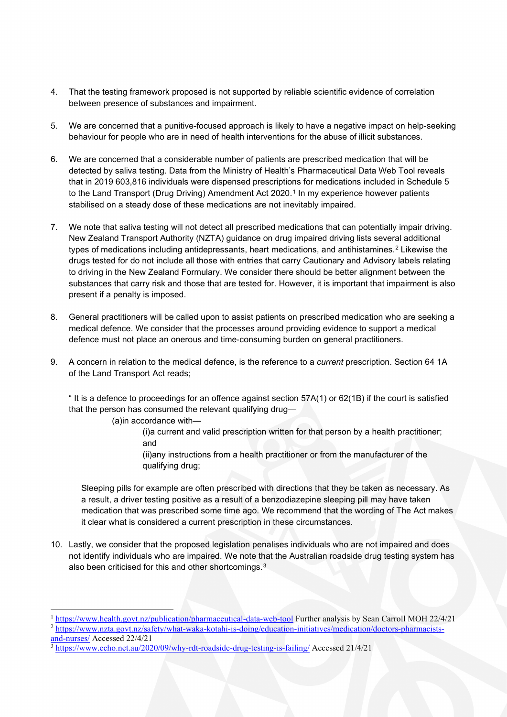- 4. That the testing framework proposed is not supported by reliable scientific evidence of correlation between presence of substances and impairment.
- 5. We are concerned that a punitive-focused approach is likely to have a negative impact on help-seeking behaviour for people who are in need of health interventions for the abuse of illicit substances.
- 6. We are concerned that a considerable number of patients are prescribed medication that will be detected by saliva testing. Data from the Ministry of Health's Pharmaceutical Data Web Tool reveals that in 2019 603,816 individuals were dispensed prescriptions for medications included in Schedule 5 to the Land Transport (Drug Driving) Amendment Act 2020.<sup>[1](#page-1-0)</sup> In my experience however patients stabilised on a steady dose of these medications are not inevitably impaired.
- 7. We note that saliva testing will not detect all prescribed medications that can potentially impair driving. New Zealand Transport Authority (NZTA) guidance on drug impaired driving lists several additional types of medications including antidepressants, heart medications, and antihistamines.[2](#page-1-1) Likewise the drugs tested for do not include all those with entries that carry Cautionary and Advisory labels relating to driving in the New Zealand Formulary. We consider there should be better alignment between the substances that carry risk and those that are tested for. However, it is important that impairment is also present if a penalty is imposed.
- 8. General practitioners will be called upon to assist patients on prescribed medication who are seeking a medical defence. We consider that the processes around providing evidence to support a medical defence must not place an onerous and time-consuming burden on general practitioners.
- 9. A concern in relation to the medical defence, is the reference to a *current* prescription. Section 64 1A of the Land Transport Act reads;

" It is a defence to proceedings for an offence against section 57A(1) or 62(1B) if the court is satisfied that the person has consumed the relevant qualifying drug—

(a)in accordance with—

(i)a current and valid prescription written for that person by a health practitioner; and

(ii)any instructions from a health practitioner or from the manufacturer of the qualifying drug;

Sleeping pills for example are often prescribed with directions that they be taken as necessary. As a result, a driver testing positive as a result of a benzodiazepine sleeping pill may have taken medication that was prescribed some time ago. We recommend that the wording of The Act makes it clear what is considered a current prescription in these circumstances.

10. Lastly, we consider that the proposed legislation penalises individuals who are not impaired and does not identify individuals who are impaired. We note that the Australian roadside drug testing system has also been criticised for this and other shortcomings.<sup>[3](#page-1-2)</sup>

<span id="page-1-1"></span><sup>2</sup> [https://www.nzta.govt.nz/safety/what-waka-kotahi-is-doing/education-initiatives/medication/doctors-pharmacists](https://www.nzta.govt.nz/safety/what-waka-kotahi-is-doing/education-initiatives/medication/doctors-pharmacists-and-nurses/)[and-nurses/](https://www.nzta.govt.nz/safety/what-waka-kotahi-is-doing/education-initiatives/medication/doctors-pharmacists-and-nurses/) Accessed 22/4/21

<span id="page-1-0"></span><sup>&</sup>lt;sup>1</sup> <https://www.health.govt.nz/publication/pharmaceutical-data-web-tool> Further analysis by Sean Carroll MOH 22/4/21

<span id="page-1-2"></span><sup>3</sup> <https://www.echo.net.au/2020/09/why-rdt-roadside-drug-testing-is-failing/> Accessed 21/4/21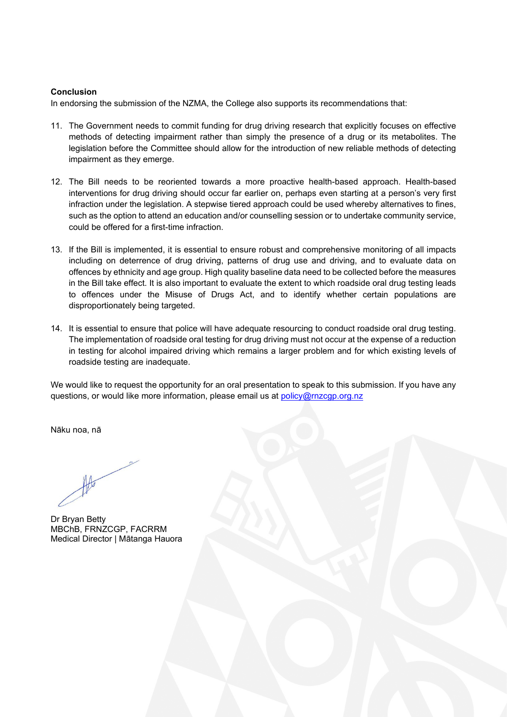### **Conclusion**

In endorsing the submission of the NZMA, the College also supports its recommendations that:

- 11. The Government needs to commit funding for drug driving research that explicitly focuses on effective methods of detecting impairment rather than simply the presence of a drug or its metabolites. The legislation before the Committee should allow for the introduction of new reliable methods of detecting impairment as they emerge.
- 12. The Bill needs to be reoriented towards a more proactive health-based approach. Health-based interventions for drug driving should occur far earlier on, perhaps even starting at a person's very first infraction under the legislation. A stepwise tiered approach could be used whereby alternatives to fines, such as the option to attend an education and/or counselling session or to undertake community service, could be offered for a first-time infraction.
- 13. If the Bill is implemented, it is essential to ensure robust and comprehensive monitoring of all impacts including on deterrence of drug driving, patterns of drug use and driving, and to evaluate data on offences by ethnicity and age group. High quality baseline data need to be collected before the measures in the Bill take effect. It is also important to evaluate the extent to which roadside oral drug testing leads to offences under the Misuse of Drugs Act, and to identify whether certain populations are disproportionately being targeted.
- 14. It is essential to ensure that police will have adequate resourcing to conduct roadside oral drug testing. The implementation of roadside oral testing for drug driving must not occur at the expense of a reduction in testing for alcohol impaired driving which remains a larger problem and for which existing levels of roadside testing are inadequate.

We would like to request the opportunity for an oral presentation to speak to this submission. If you have any questions, or would like more information, please email us at [policy@rnzcgp.org.nz](mailto:policy@rnzcgp.org.nz)

Nāku noa, nā

Dr Bryan Betty MBChB, FRNZCGP, FACRRM Medical Director | Mātanga Hauora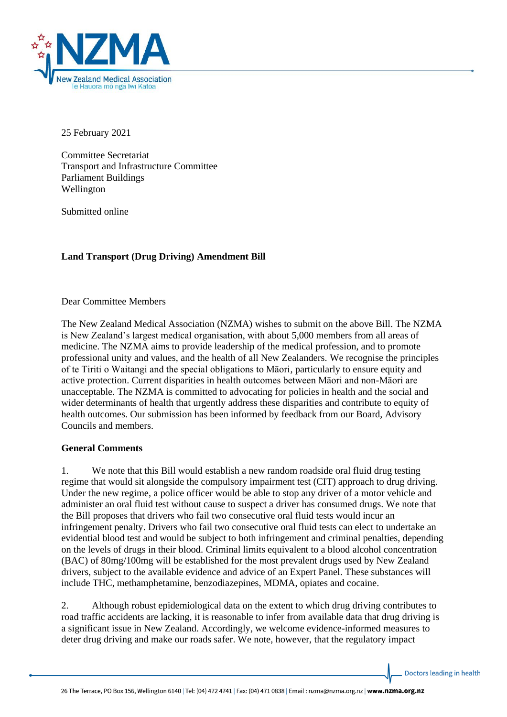

25 February 2021

Committee Secretariat Transport and Infrastructure Committee Parliament Buildings Wellington

Submitted online

# **Land Transport (Drug Driving) Amendment Bill**

Dear Committee Members

The New Zealand Medical Association (NZMA) wishes to submit on the above Bill. The NZMA is New Zealand's largest medical organisation, with about 5,000 members from all areas of medicine. The NZMA aims to provide leadership of the medical profession, and to promote professional unity and values, and the health of all New Zealanders. We recognise the principles of te Tiriti o Waitangi and the special obligations to Māori, particularly to ensure equity and active protection. Current disparities in health outcomes between Māori and non-Māori are unacceptable. The NZMA is committed to advocating for policies in health and the social and wider determinants of health that urgently address these disparities and contribute to equity of health outcomes. Our submission has been informed by feedback from our Board, Advisory Councils and members.

## **General Comments**

1. We note that this Bill would establish a new random roadside oral fluid drug testing regime that would sit alongside the compulsory impairment test (CIT) approach to drug driving. Under the new regime, a police officer would be able to stop any driver of a motor vehicle and administer an oral fluid test without cause to suspect a driver has consumed drugs. We note that the Bill proposes that drivers who fail two consecutive oral fluid tests would incur an infringement penalty. Drivers who fail two consecutive oral fluid tests can elect to undertake an evidential blood test and would be subject to both infringement and criminal penalties, depending on the levels of drugs in their blood. Criminal limits equivalent to a blood alcohol concentration (BAC) of 80mg/100mg will be established for the most prevalent drugs used by New Zealand drivers, subject to the available evidence and advice of an Expert Panel. These substances will include THC, methamphetamine, benzodiazepines, MDMA, opiates and cocaine.

2. Although robust epidemiological data on the extent to which drug driving contributes to road traffic accidents are lacking, it is reasonable to infer from available data that drug driving is a significant issue in New Zealand. Accordingly, we welcome evidence-informed measures to deter drug driving and make our roads safer. We note, however, that the regulatory impact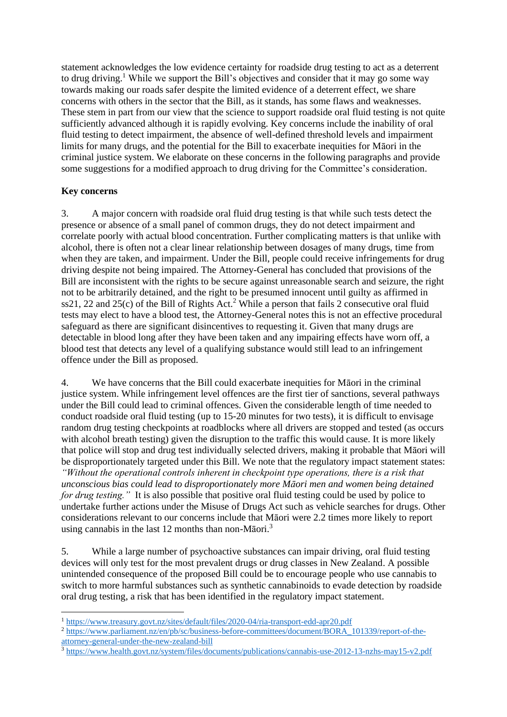statement acknowledges the low evidence certainty for roadside drug testing to act as a deterrent to drug driving.<sup>1</sup> While we support the Bill's objectives and consider that it may go some way towards making our roads safer despite the limited evidence of a deterrent effect, we share concerns with others in the sector that the Bill, as it stands, has some flaws and weaknesses. These stem in part from our view that the science to support roadside oral fluid testing is not quite sufficiently advanced although it is rapidly evolving. Key concerns include the inability of oral fluid testing to detect impairment, the absence of well-defined threshold levels and impairment limits for many drugs, and the potential for the Bill to exacerbate inequities for Māori in the criminal justice system. We elaborate on these concerns in the following paragraphs and provide some suggestions for a modified approach to drug driving for the Committee's consideration.

## **Key concerns**

3. A major concern with roadside oral fluid drug testing is that while such tests detect the presence or absence of a small panel of common drugs, they do not detect impairment and correlate poorly with actual blood concentration. Further complicating matters is that unlike with alcohol, there is often not a clear linear relationship between dosages of many drugs, time from when they are taken, and impairment. Under the Bill, people could receive infringements for drug driving despite not being impaired. The Attorney-General has concluded that provisions of the Bill are inconsistent with the rights to be secure against unreasonable search and seizure, the right not to be arbitrarily detained, and the right to be presumed innocent until guilty as affirmed in ss21, 22 and 25(c) of the Bill of Rights Act.<sup>2</sup> While a person that fails 2 consecutive oral fluid tests may elect to have a blood test, the Attorney-General notes this is not an effective procedural safeguard as there are significant disincentives to requesting it. Given that many drugs are detectable in blood long after they have been taken and any impairing effects have worn off, a blood test that detects any level of a qualifying substance would still lead to an infringement offence under the Bill as proposed.

4. We have concerns that the Bill could exacerbate inequities for Māori in the criminal justice system. While infringement level offences are the first tier of sanctions, several pathways under the Bill could lead to criminal offences. Given the considerable length of time needed to conduct roadside oral fluid testing (up to 15-20 minutes for two tests), it is difficult to envisage random drug testing checkpoints at roadblocks where all drivers are stopped and tested (as occurs with alcohol breath testing) given the disruption to the traffic this would cause. It is more likely that police will stop and drug test individually selected drivers, making it probable that Māori will be disproportionately targeted under this Bill. We note that the regulatory impact statement states: *"Without the operational controls inherent in checkpoint type operations, there is a risk that unconscious bias could lead to disproportionately more Māori men and women being detained for drug testing.*" It is also possible that positive oral fluid testing could be used by police to undertake further actions under the Misuse of Drugs Act such as vehicle searches for drugs. Other considerations relevant to our concerns include that Māori were 2.2 times more likely to report using cannabis in the last 12 months than non-Māori.<sup>3</sup>

5. While a large number of psychoactive substances can impair driving, oral fluid testing devices will only test for the most prevalent drugs or drug classes in New Zealand. A possible unintended consequence of the proposed Bill could be to encourage people who use cannabis to switch to more harmful substances such as synthetic cannabinoids to evade detection by roadside oral drug testing, a risk that has been identified in the regulatory impact statement.

<sup>3</sup> <https://www.health.govt.nz/system/files/documents/publications/cannabis-use-2012-13-nzhs-may15-v2.pdf>

<sup>1</sup> <https://www.treasury.govt.nz/sites/default/files/2020-04/ria-transport-edd-apr20.pdf>

<sup>&</sup>lt;sup>2</sup> [https://www.parliament.nz/en/pb/sc/business-before-committees/document/BORA\\_101339/report-of-the](https://www.parliament.nz/en/pb/sc/business-before-committees/document/BORA_101339/report-of-the-attorney-general-under-the-new-zealand-bill)[attorney-general-under-the-new-zealand-bill](https://www.parliament.nz/en/pb/sc/business-before-committees/document/BORA_101339/report-of-the-attorney-general-under-the-new-zealand-bill)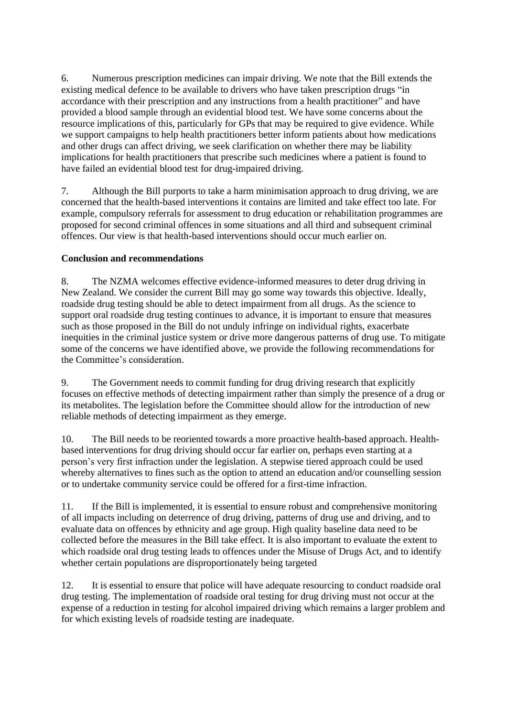6. Numerous prescription medicines can impair driving. We note that the Bill extends the existing medical defence to be available to drivers who have taken prescription drugs "in accordance with their prescription and any instructions from a health practitioner" and have provided a blood sample through an evidential blood test. We have some concerns about the resource implications of this, particularly for GPs that may be required to give evidence. While we support campaigns to help health practitioners better inform patients about how medications and other drugs can affect driving, we seek clarification on whether there may be liability implications for health practitioners that prescribe such medicines where a patient is found to have failed an evidential blood test for drug-impaired driving.

7. Although the Bill purports to take a harm minimisation approach to drug driving, we are concerned that the health-based interventions it contains are limited and take effect too late. For example, compulsory referrals for assessment to drug education or rehabilitation programmes are proposed for second criminal offences in some situations and all third and subsequent criminal offences. Our view is that health-based interventions should occur much earlier on.

## **Conclusion and recommendations**

8. The NZMA welcomes effective evidence-informed measures to deter drug driving in New Zealand. We consider the current Bill may go some way towards this objective. Ideally, roadside drug testing should be able to detect impairment from all drugs. As the science to support oral roadside drug testing continues to advance, it is important to ensure that measures such as those proposed in the Bill do not unduly infringe on individual rights, exacerbate inequities in the criminal justice system or drive more dangerous patterns of drug use. To mitigate some of the concerns we have identified above, we provide the following recommendations for the Committee's consideration.

9. The Government needs to commit funding for drug driving research that explicitly focuses on effective methods of detecting impairment rather than simply the presence of a drug or its metabolites. The legislation before the Committee should allow for the introduction of new reliable methods of detecting impairment as they emerge.

10. The Bill needs to be reoriented towards a more proactive health-based approach. Healthbased interventions for drug driving should occur far earlier on, perhaps even starting at a person's very first infraction under the legislation. A stepwise tiered approach could be used whereby alternatives to fines such as the option to attend an education and/or counselling session or to undertake community service could be offered for a first-time infraction.

11. If the Bill is implemented, it is essential to ensure robust and comprehensive monitoring of all impacts including on deterrence of drug driving, patterns of drug use and driving, and to evaluate data on offences by ethnicity and age group. High quality baseline data need to be collected before the measures in the Bill take effect. It is also important to evaluate the extent to which roadside oral drug testing leads to offences under the Misuse of Drugs Act, and to identify whether certain populations are disproportionately being targeted

12. It is essential to ensure that police will have adequate resourcing to conduct roadside oral drug testing. The implementation of roadside oral testing for drug driving must not occur at the expense of a reduction in testing for alcohol impaired driving which remains a larger problem and for which existing levels of roadside testing are inadequate.